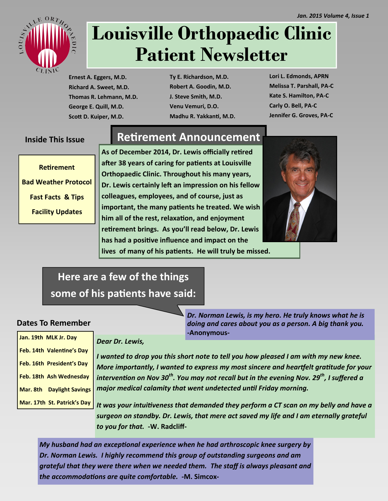

# **Louisville Orthopaedic Clinic Patient Newsletter**

**Ernest A. Eggers, M.D. Richard A. Sweet, M.D. Thomas R. Lehmann, M.D. George E. Quill, M.D. Scott D. Kuiper, M.D.**

**Ty E. Richardson, M.D. Robert A. Goodin, M.D. J. Steve Smith, M.D. Venu Vemuri, D.O. Madhu R. Yakkanti, M.D.** **Lori L. Edmonds, APRN Melissa T. Parshall, PA-C Kate S. Hamilton, PA-C Carly O. Bell, PA-C Jennifer G. Groves, PA-C**

#### **Inside This Issue**

**Retirement Bad Weather Protocol Fast Facts & Tips Facility Updates**

## **Retirement Announcement**

**As of December 2014, Dr. Lewis officially retired after 38 years of caring for patients at Louisville Orthopaedic Clinic. Throughout his many years, Dr. Lewis certainly left an impression on his fellow colleagues, employees, and of course, just as important, the many patients he treated. We wish him all of the rest, relaxation, and enjoyment retirement brings. As you'll read below, Dr. Lewis has had a positive influence and impact on the lives of many of his patients. He will truly be missed.** 



# **Here are a few of the things some of his patients have said:**

#### **Dates To Remember**

| Jan. 19th MLK Jr. Day       |
|-----------------------------|
| Feb. 14th Valentine's Day   |
| Feb. 16th President's Day   |
| Feb. 18th Ash Wednesday     |
| Mar. 8th Daylight Savings   |
| Mar. 17th St. Patrick's Day |

*Dear Dr. Lewis,*

*I wanted to drop you this short note to tell you how pleased I am with my new knee. More importantly, I wanted to express my most sincere and heartfelt gratitude for your intervention on Nov 30th. You may not recall but in the evening Nov. 29th, I suffered a major medical calamity that went undetected until Friday morning.*

*-***Anonymous***-*

*Dr. Norman Lewis, is my hero. He truly knows what he is doing and cares about you as a person. A big thank you.* 

*It was your intuitiveness that demanded they perform a CT scan on my belly and have a surgeon on standby. Dr. Lewis, that mere act saved my life and I am eternally grateful to you for that.* **-W. Radcliff-**

*My husband had an exceptional experience when he had arthroscopic knee surgery by Dr. Norman Lewis. I highly recommend this group of outstanding surgeons and am grateful that they were there when we needed them. The staff is always pleasant and the accommodations are quite comfortable. -***M. Simcox-**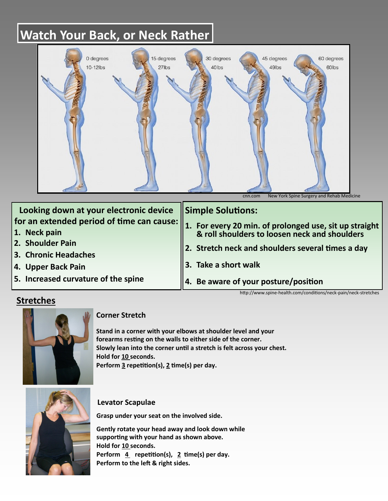# **Watch Your Back, or Neck Rather**



| Looking down at your electronic device | Simple Solutions:                                                                                                |
|----------------------------------------|------------------------------------------------------------------------------------------------------------------|
|                                        | for an extended period of time can cause: 1. For every 20 min. of prolonged use, sit up straight<br>1. Neck nain |
|                                        |                                                                                                                  |
| 2. Shoulder Pain                       | $\parallel$ 2. Stretch neck and shoulders several times a day                                                    |
| 3. Chronic Headaches                   |                                                                                                                  |
| 4. Upper Back Pain                     | 3. Take a short walk                                                                                             |
| 5. Increased curvature of the spine    | $\parallel$ 4. Be aware of your posture/position                                                                 |

http://www.spine-health.com/conditions/neck-pain/neck-stretches

### **Stretches**



#### **Corner Stretch**

**Stand in a corner with your elbows at shoulder level and your forearms resting on the walls to either side of the corner. Slowly lean into the corner until a stretch is felt across your chest. Hold for 10 seconds. Perform 3 repetition(s), 2 time(s) per day.** 



#### **Levator Scapulae**

**Grasp under your seat on the involved side.**

**Gently rotate your head away and look down while supporting with your hand as shown above. Hold for 10 seconds.**  Perform 4 repetition(s), 2 time(s) per day. **Perform to the left & right sides.**